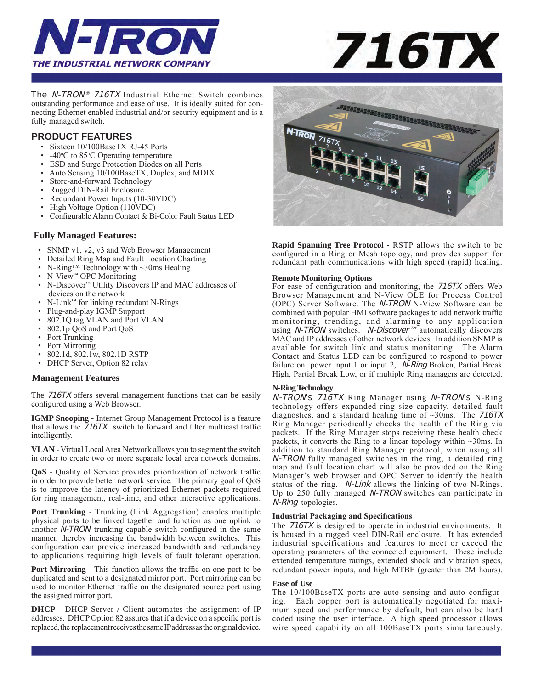



The *N-TRON*<sup>®</sup> 716TX Industrial Ethernet Switch combines outstanding performance and ease of use. It is ideally suited for connecting Ethernet enabled industrial and/or security equipment and is a fully managed switch.

## **PRODUCT FEATURES**

- Sixteen 10/100BaseTX RJ-45 Ports
- -40°C to 85°C Operating temperature
- ESD and Surge Protection Diodes on all Ports
- Auto Sensing 10/100BaseTX, Duplex, and MDIX
- Store-and-forward Technology
- Rugged DIN-Rail Enclosure
- Redundant Power Inputs (10-30VDC)
- High Voltage Option (110VDC)
- Configurable Alarm Contact & Bi-Color Fault Status LED

#### **Fully Managed Features:**

- SNMP v1, v2, v3 and Web Browser Management
- Detailed Ring Map and Fault Location Charting
- N-Ring™ Technology with ~30ms Healing
- N-View™ OPC Monitoring
- N-Discover™ Utility Discovers IP and MAC addresses of devices on the network
- N-Link™ for linking redundant N-Rings
- Plug-and-play IGMP Support<br>•  $802,10$  tag VI AN and Port V
- 802.1Q tag VLAN and Port VLAN<br>• 802.1n OoS and Port OoS
- 802.1p QoS and Port QoS
- Port Trunking
- Port Mirroring
- 802.1d, 802.1w, 802.1D RSTP
- DHCP Server, Option 82 relay

#### **Management Features**

The 716TX offers several management functions that can be easily configured using a Web Browser.

**IGMP Snooping** - Internet Group Management Protocol is a feature that allows the 716TX switch to forward and filter multicast traffic intelligently.

**VLAN** - Virtual Local Area Network allows you to segment the switch in order to create two or more separate local area network domains.

**QoS** - Quality of Service provides prioritization of network traffic in order to provide better network service. The primary goal of QoS is to improve the latency of prioritized Ethernet packets required for ring management, real-time, and other interactive applications.

**Port Trunking** - Trunking (Link Aggregation) enables multiple physical ports to be linked together and function as one uplink to another N-TRON trunking capable switch configured in the same manner, thereby increasing the bandwidth between switches. This configuration can provide increased bandwidth and redundancy to applications requiring high levels of fault tolerant operation.

**Port Mirroring - This function allows the traffic on one port to be** duplicated and sent to a designated mirror port. Port mirroring can be used to monitor Ethernet traffic on the designated source port using the assigned mirror port.

**DHCP** - DHCP Server / Client automates the assignment of IP addresses. DHCP Option 82 assures that if a device on a specific port is replaced, the replacement receives the same IP address as the original device.



**Rapid Spanning Tree Protocol -** RSTP allows the switch to be configured in a Ring or Mesh topology, and provides support for redundant path communications with high speed (rapid) healing.

#### **Remote Monitoring Options**

For ease of configuration and monitoring, the 716TX offers Web Browser Management and N-View OLE for Process Control (OPC) Server Software. The N-TRON N-View Software can be combined with popular HMI software packages to add network traffic monitoring, trending, and alarming to any application using N-TRON switches. N-Discover™ automatically discovers MAC and IP addresses of other network devices. In addition SNMP is available for switch link and status monitoring. The Alarm Contact and Status LED can be configured to respond to power failure on power input 1 or input 2, *N-Ring* Broken, Partial Break High, Partial Break Low, or if multiple Ring managers are detected.

#### **N-Ring Technology**

N-TRON's 716TX Ring Manager using N-TRON's N-Ring technology offers expanded ring size capacity, detailed fault diagnostics, and a standard healing time of  $\sim$ 30ms. The 716TX Ring Manager periodically checks the health of the Ring via packets. If the Ring Manager stops receiving these health check packets, it converts the Ring to a linear topology within  $\sim$ 30ms. In addition to standard Ring Manager protocol, when using all N-TRON fully managed switches in the ring, a detailed ring map and fault location chart will also be provided on the Ring Manager's web browser and OPC Server to identfy the health status of the ring. N-Link allows the linking of two N-Rings. Up to 250 fully managed *N-TRON* switches can participate in N-Ring topologies.

#### **Industrial Packaging and Specifications**

The 716TX is designed to operate in industrial environments. It is housed in a rugged steel DIN-Rail enclosure. It has extended industrial specifications and features to meet or exceed the operating parameters of the connected equipment. These include extended temperature ratings, extended shock and vibration specs, redundant power inputs, and high MTBF (greater than 2M hours).

#### **Ease of Use**

The 10/100BaseTX ports are auto sensing and auto configuring. Each copper port is automatically negotiated for maximum speed and performance by default, but can also be hard coded using the user interface. A high speed processor allows wire speed capability on all 100BaseTX ports simultaneously.